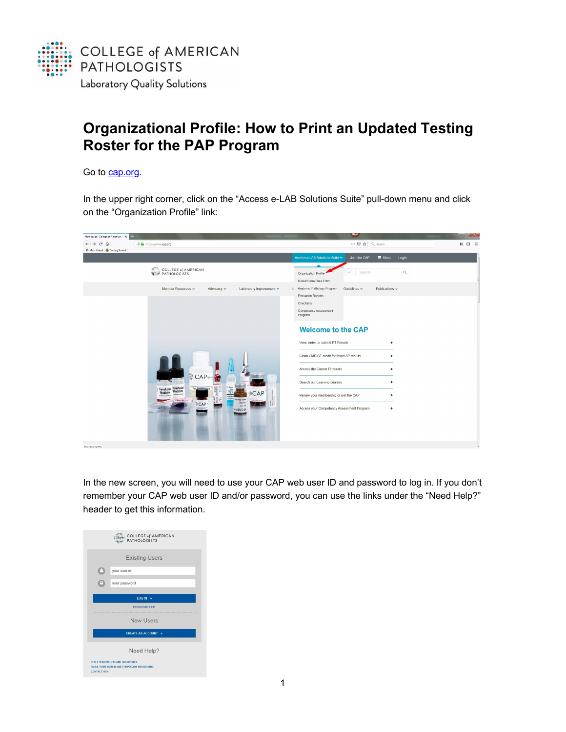

## **Organizational Profile: How to Print an Updated Testing Roster for the PAP Program**

Go to **cap.org**.

In the upper right corner, click on the "Access e-LAB Solutions Suite" pull-down menu and click on the "Organization Profile" link:



In the new screen, you will need to use your CAP web user ID and password to log in. If you don't remember your CAP web user ID and/or password, you can use the links under the "Need Help?" header to get this information.

| <b>COLLEGE of AMERICAN</b><br><b>PATHOLOGISTS</b> |
|---------------------------------------------------|
| <b>Existing Users</b>                             |
| your user id                                      |
| your password                                     |
| LOG IN $\rightarrow$                              |
| <b>PASSWORD HINT</b>                              |
| <b>New Users</b>                                  |
| <b>CREATE AN ACCOUNT</b><br>- 2                   |
| Need Help?                                        |
|                                                   |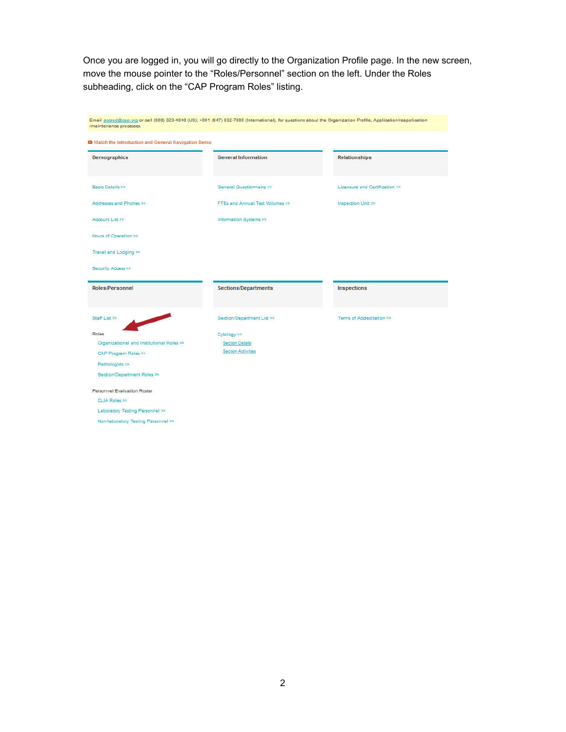Once you are logged in, you will go directly to the Organization Profile page. In the new screen, move the mouse pointer to the "Roles/Personnel" section on the left. Under the Roles subheading, click on the "CAP Program Roles" listing.

| /maintenance processes.                            |                                 | Email accred@cap.org or call (800) 323-4040 (US); +001 (847) 832-7000 (International), for questions about the Organization Profile, Application/reapplication |
|----------------------------------------------------|---------------------------------|----------------------------------------------------------------------------------------------------------------------------------------------------------------|
| Watch the Introduction and General Navigation Demo |                                 |                                                                                                                                                                |
| <b>Demographics</b>                                | <b>General Information</b>      | <b>Relationships</b>                                                                                                                                           |
| Basic Details >>                                   | General Questionnaire >>        | Licensure and Certification >>                                                                                                                                 |
| Addresses and Phones >>                            | FTEs and Annual Test Volumes >> | Inspection Unit >>                                                                                                                                             |
| Account List >>                                    | Information Systems >>          |                                                                                                                                                                |
| Hours of Operation >>                              |                                 |                                                                                                                                                                |
| Travel and Lodging >>                              |                                 |                                                                                                                                                                |
| Security Access >>                                 |                                 |                                                                                                                                                                |
| Roles/Personnel                                    | <b>Sections/Departments</b>     | <b>Inspections</b>                                                                                                                                             |
| Staff List >>                                      | Section/Department List >>      | Terms of Accreditation >>                                                                                                                                      |
| Roles                                              | Cytology >>                     |                                                                                                                                                                |
| Organizational and Institutional Roles >>          | <b>Section Details</b>          |                                                                                                                                                                |
| CAP Program Roles >>                               | Section Activities              |                                                                                                                                                                |
| Pathologists >>                                    |                                 |                                                                                                                                                                |
| Section/Department Roles >>                        |                                 |                                                                                                                                                                |
| Personnel Evaluation Roster                        |                                 |                                                                                                                                                                |
| CLIA Roles >>                                      |                                 |                                                                                                                                                                |
| Laboratory Testing Personnel >>                    |                                 |                                                                                                                                                                |
| Non-laboratory Testing Personnel >>                |                                 |                                                                                                                                                                |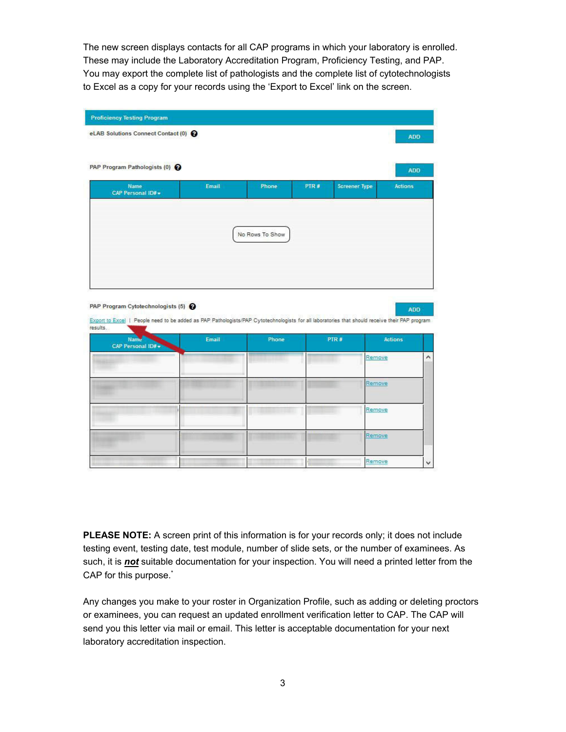The new screen displays contacts for all CAP programs in which your laboratory is enrolled. These may include the Laboratory Accreditation Program, Proficiency Testing, and PAP. You may export the complete list of pathologists and the complete list of cytotechnologists to Excel as a copy for your records using the 'Export to Excel' link on the screen.

| <b>Proficiency Testing Program</b> |       |                 |      |                      |            |
|------------------------------------|-------|-----------------|------|----------------------|------------|
| eLAB Solutions Connect Contact (0) |       |                 |      |                      | <b>ADD</b> |
| PAP Program Pathologists (0)       |       |                 |      |                      | <b>ADD</b> |
| Name<br>CAP Personal ID# =         | Email | Phone           | PTR# | <b>Screener Type</b> | Actions    |
|                                    |       |                 |      |                      |            |
|                                    |       | No Rows To Show |      |                      |            |
|                                    |       |                 |      |                      |            |
|                                    |       |                 |      |                      |            |

| Name<br><b>CAP Personal ID#</b> | Email | Phone | PTR# | <b>Actions</b> |
|---------------------------------|-------|-------|------|----------------|
|                                 |       |       |      | Remove         |
|                                 |       |       |      | Remove         |
|                                 |       |       |      | Remove         |
|                                 |       |       |      | Remove         |

**PLEASE NOTE:** A screen print of this information is for your records only; it does not include testing event, testing date, test module, number of slide sets, or the number of examinees. As such, it is *not* suitable documentation for your inspection. You will need a printed letter from the CAP for this purpose.<sup>\*</sup>

Any changes you make to your roster in Organization Profile, such as adding or deleting proctors or examinees, you can request an updated enrollment verification letter to CAP. The CAP will send you this letter via mail or email. This letter is acceptable documentation for your next laboratory accreditation inspection.